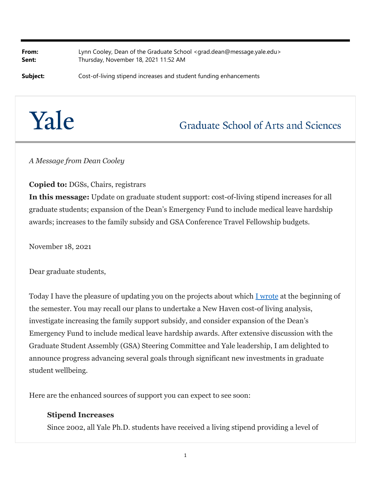**From:** Lynn Cooley, Dean of the Graduate School <grad.dean@message.yale.edu> **Sent:** Thursday, November 18, 2021 11:52 AM

**Subject:** Cost-of-living stipend increases and student funding enhancements

# Yale

## **Graduate School of Arts and Sciences**

*A Message from Dean Cooley*

#### **Copied to:** DGSs, Chairs, registrars

**In this message:** Update on graduate student support: cost-of-living stipend increases for all graduate students; expansion of the Dean's Emergency Fund to include medical leave hardship awards; increases to the family subsidy and GSA Conference Travel Fellowship budgets.

November 18, 2021

Dear graduate students,

Today I have the pleasure of updating you on the projects about which I wrote at the beginning of the semester. You may recall our plans to undertake a New Haven cost-of living analysis, investigate increasing the family support subsidy, and consider expansion of the Dean's Emergency Fund to include medical leave hardship awards. After extensive discussion with the Graduate Student Assembly (GSA) Steering Committee and Yale leadership, I am delighted to announce progress advancing several goals through significant new investments in graduate student wellbeing.

Here are the enhanced sources of support you can expect to see soon:

#### **Stipend Increases**

Since 2002, all Yale Ph.D. students have received a living stipend providing a level of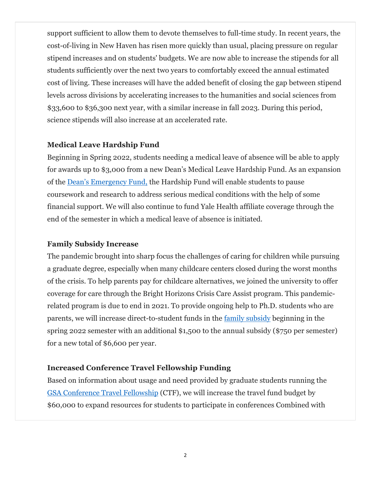support sufficient to allow them to devote themselves to full-time study. In recent years, the cost-of-living in New Haven has risen more quickly than usual, placing pressure on regular stipend increases and on students' budgets. We are now able to increase the stipends for all students sufficiently over the next two years to comfortably exceed the annual estimated cost of living. These increases will have the added benefit of closing the gap between stipend levels across divisions by accelerating increases to the humanities and social sciences from \$33,600 to \$36,300 next year, with a similar increase in fall 2023. During this period, science stipends will also increase at an accelerated rate.

#### **Medical Leave Hardship Fund**

Beginning in Spring 2022, students needing a medical leave of absence will be able to apply for awards up to \$3,000 from a new Dean's Medical Leave Hardship Fund. As an expansion of the Dean's Emergency Fund, the Hardship Fund will enable students to pause coursework and research to address serious medical conditions with the help of some financial support. We will also continue to fund Yale Health affiliate coverage through the end of the semester in which a medical leave of absence is initiated.

#### **Family Subsidy Increase**

The pandemic brought into sharp focus the challenges of caring for children while pursuing a graduate degree, especially when many childcare centers closed during the worst months of the crisis. To help parents pay for childcare alternatives, we joined the university to offer coverage for care through the Bright Horizons Crisis Care Assist program. This pandemicrelated program is due to end in 2021. To provide ongoing help to Ph.D. students who are parents, we will increase direct-to-student funds in the family subsidy beginning in the spring 2022 semester with an additional \$1,500 to the annual subsidy (\$750 per semester) for a new total of \$6,600 per year.

### **Increased Conference Travel Fellowship Funding**

Based on information about usage and need provided by graduate students running the GSA Conference Travel Fellowship (CTF), we will increase the travel fund budget by \$60,000 to expand resources for students to participate in conferences Combined with